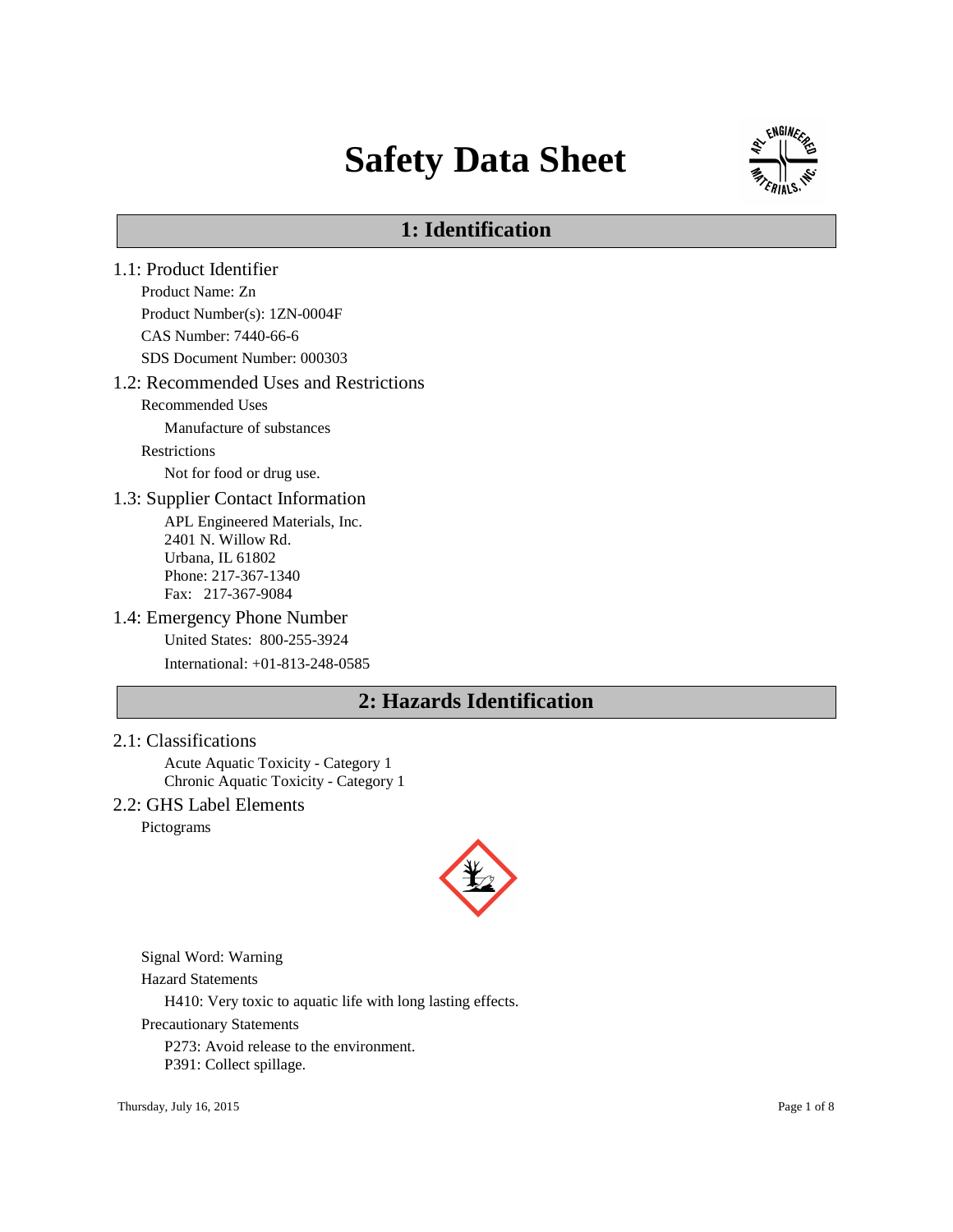# **Safety Data Sheet**



# **1: Identification**

- 1.1: Product Identifier Product Name: Zn Product Number(s): 1ZN-0004F CAS Number: 7440-66-6 SDS Document Number: 000303 1.2: Recommended Uses and Restrictions Recommended Uses Manufacture of substances Restrictions Not for food or drug use. 1.3: Supplier Contact Information APL Engineered Materials, Inc. 2401 N. Willow Rd. Urbana, IL 61802 Phone: 217-367-1340 Fax: 217-367-9084 1.4: Emergency Phone Number United States: 800-255-3924 International: +01-813-248-0585 **2: Hazards Identification**
- 2.1: Classifications

Acute Aquatic Toxicity - Category 1 Chronic Aquatic Toxicity - Category 1

2.2: GHS Label Elements

Pictograms



Signal Word: Warning

Hazard Statements

H410: Very toxic to aquatic life with long lasting effects.

Precautionary Statements

P273: Avoid release to the environment.

P391: Collect spillage.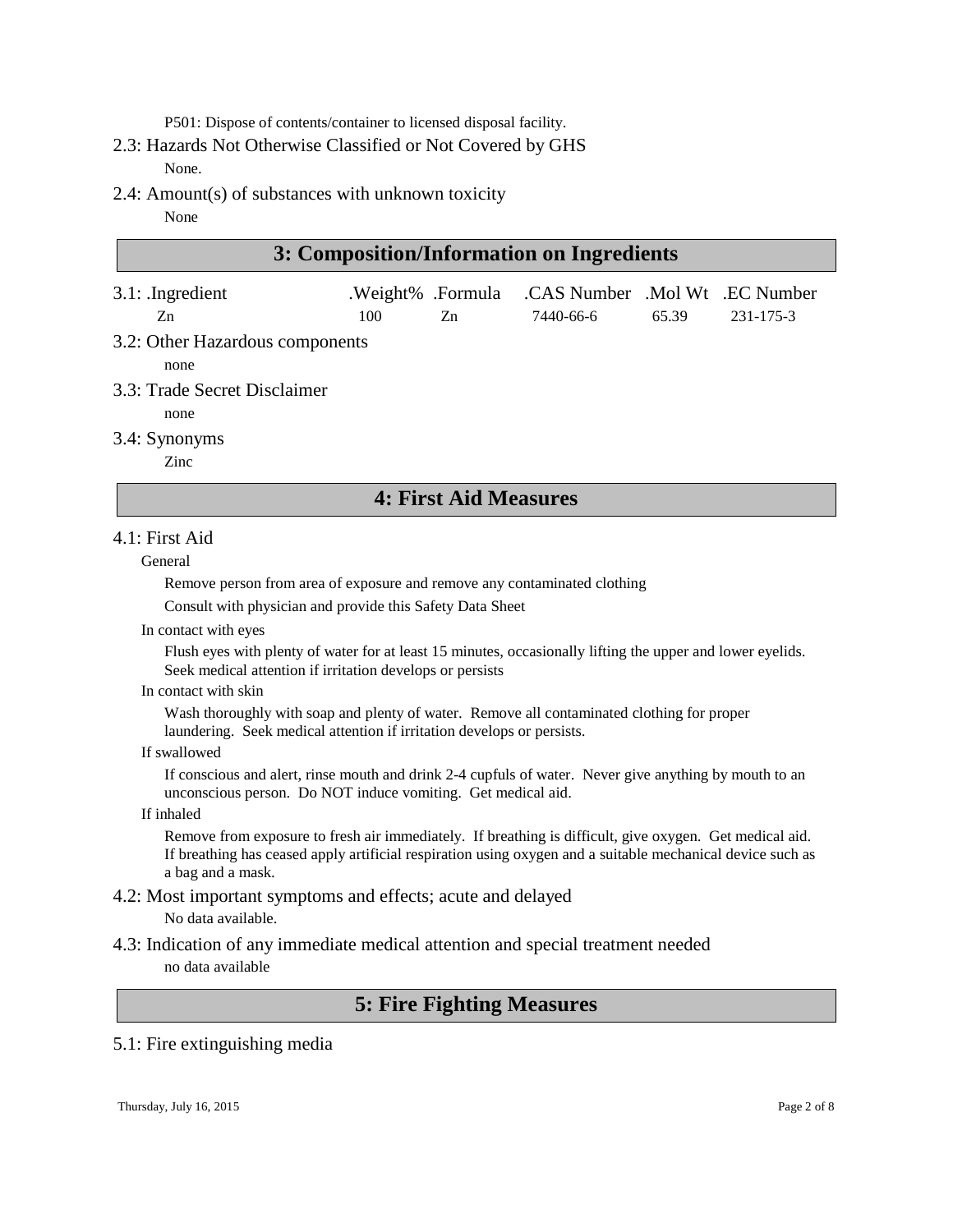P501: Dispose of contents/container to licensed disposal facility.

- 2.3: Hazards Not Otherwise Classified or Not Covered by GHS None.
- 2.4: Amount(s) of substances with unknown toxicity
	- None

| 3: Composition/Information on Ingredients |     |                         |                                             |       |           |
|-------------------------------------------|-----|-------------------------|---------------------------------------------|-------|-----------|
| $3.1:$ Ingredient<br>Zn                   | 100 | .Weight% .Formula<br>Zn | .CAS Number .Mol Wt .EC Number<br>7440-66-6 | 65.39 | 231-175-3 |
| 3.2: Other Hazardous components<br>none   |     |                         |                                             |       |           |
| 3.3: Trade Secret Disclaimer<br>none      |     |                         |                                             |       |           |
| 3.4: Synonyms                             |     |                         |                                             |       |           |

Zinc

# **4: First Aid Measures**

# 4.1: First Aid

# General

Remove person from area of exposure and remove any contaminated clothing

Consult with physician and provide this Safety Data Sheet

In contact with eyes

Flush eyes with plenty of water for at least 15 minutes, occasionally lifting the upper and lower eyelids. Seek medical attention if irritation develops or persists

In contact with skin

Wash thoroughly with soap and plenty of water. Remove all contaminated clothing for proper laundering. Seek medical attention if irritation develops or persists.

If swallowed

If conscious and alert, rinse mouth and drink 2-4 cupfuls of water. Never give anything by mouth to an unconscious person. Do NOT induce vomiting. Get medical aid.

If inhaled

Remove from exposure to fresh air immediately. If breathing is difficult, give oxygen. Get medical aid. If breathing has ceased apply artificial respiration using oxygen and a suitable mechanical device such as a bag and a mask.

# 4.2: Most important symptoms and effects; acute and delayed

No data available.

4.3: Indication of any immediate medical attention and special treatment needed no data available

# **5: Fire Fighting Measures**

# 5.1: Fire extinguishing media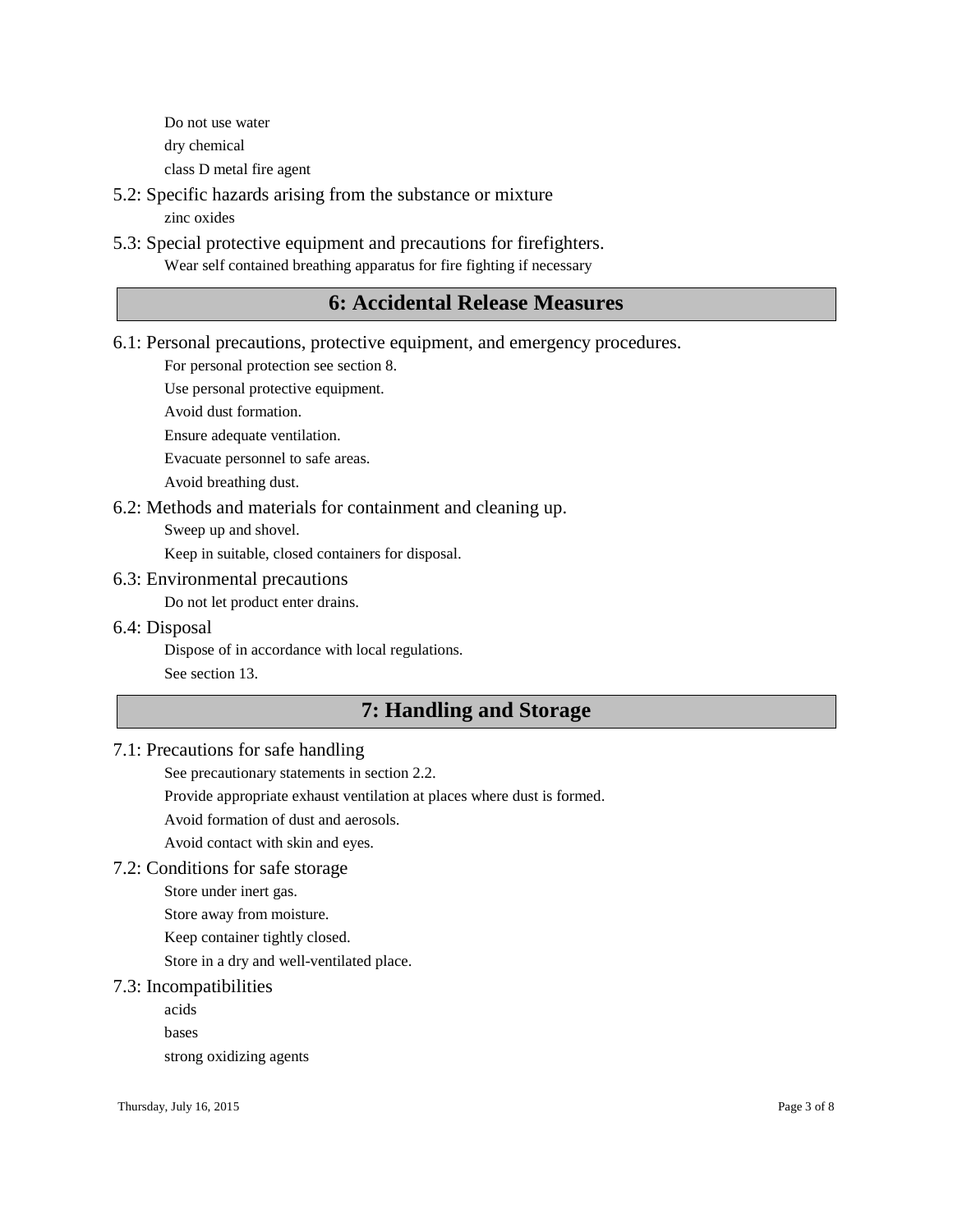Do not use water dry chemical class D metal fire agent

- 5.2: Specific hazards arising from the substance or mixture zinc oxides
- 5.3: Special protective equipment and precautions for firefighters. Wear self contained breathing apparatus for fire fighting if necessary

# **6: Accidental Release Measures**

6.1: Personal precautions, protective equipment, and emergency procedures.

For personal protection see section 8.

Use personal protective equipment.

Avoid dust formation.

Ensure adequate ventilation.

Evacuate personnel to safe areas.

Avoid breathing dust.

# 6.2: Methods and materials for containment and cleaning up.

Sweep up and shovel.

Keep in suitable, closed containers for disposal.

#### 6.3: Environmental precautions

Do not let product enter drains.

6.4: Disposal

Dispose of in accordance with local regulations.

See section 13.

# **7: Handling and Storage**

# 7.1: Precautions for safe handling

See precautionary statements in section 2.2.

Provide appropriate exhaust ventilation at places where dust is formed.

Avoid formation of dust and aerosols.

Avoid contact with skin and eyes.

#### 7.2: Conditions for safe storage

Store under inert gas.

Store away from moisture.

Keep container tightly closed.

Store in a dry and well-ventilated place.

### 7.3: Incompatibilities

acids

bases

strong oxidizing agents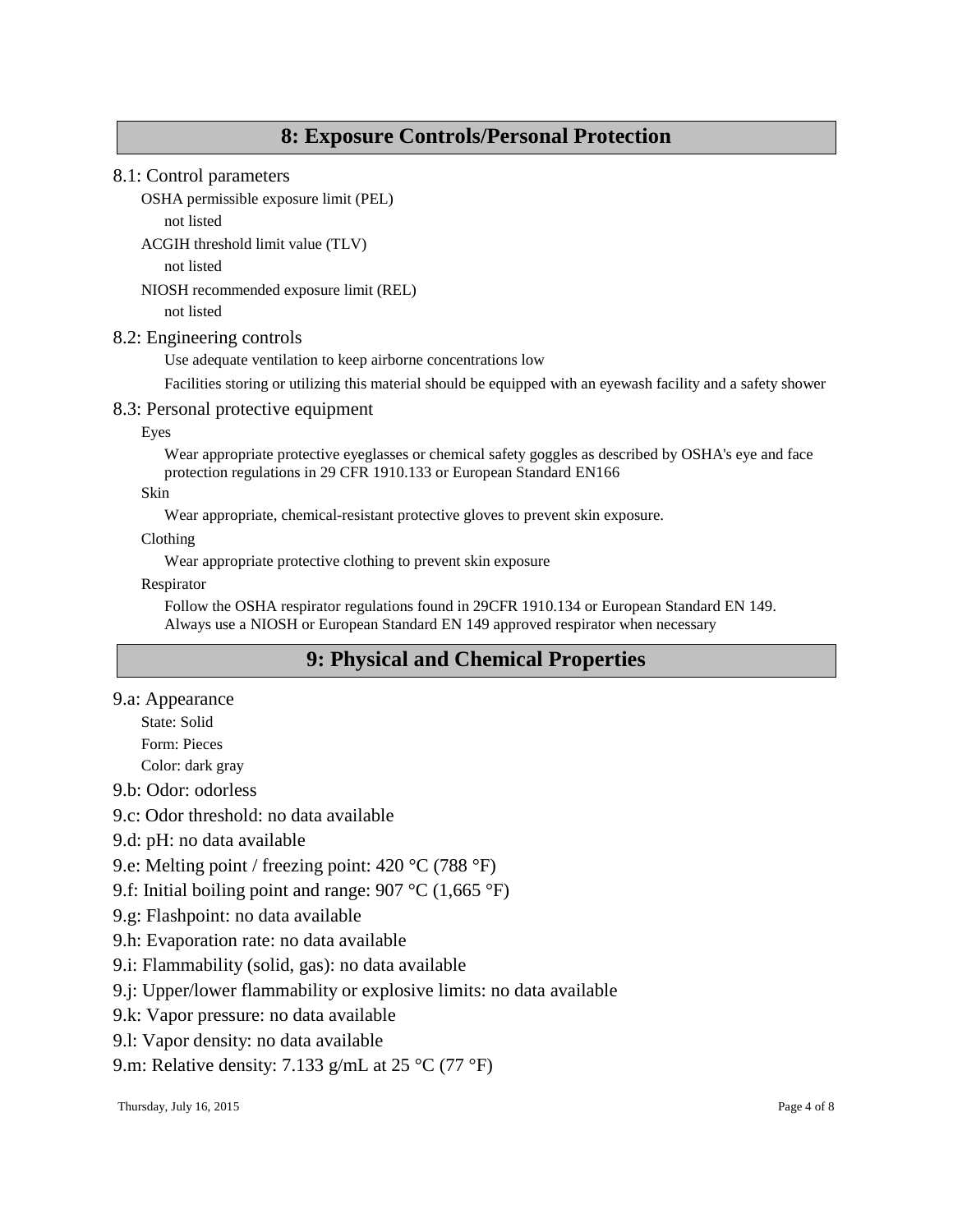# **8: Exposure Controls/Personal Protection**

# 8.1: Control parameters

OSHA permissible exposure limit (PEL)

not listed

ACGIH threshold limit value (TLV)

not listed

NIOSH recommended exposure limit (REL)

not listed

# 8.2: Engineering controls

Use adequate ventilation to keep airborne concentrations low

Facilities storing or utilizing this material should be equipped with an eyewash facility and a safety shower

# 8.3: Personal protective equipment

Eyes

Wear appropriate protective eyeglasses or chemical safety goggles as described by OSHA's eye and face protection regulations in 29 CFR 1910.133 or European Standard EN166

Skin

Wear appropriate, chemical-resistant protective gloves to prevent skin exposure.

Clothing

Wear appropriate protective clothing to prevent skin exposure

Respirator

Follow the OSHA respirator regulations found in 29CFR 1910.134 or European Standard EN 149. Always use a NIOSH or European Standard EN 149 approved respirator when necessary

# **9: Physical and Chemical Properties**

9.a: Appearance

State: Solid Form: Pieces

Color: dark gray

9.b: Odor: odorless

9.c: Odor threshold: no data available

9.d: pH: no data available

9.e: Melting point / freezing point: 420 °C (788 °F)

9.f: Initial boiling point and range: 907 °C (1,665 °F)

- 9.g: Flashpoint: no data available
- 9.h: Evaporation rate: no data available
- 9.i: Flammability (solid, gas): no data available

9.j: Upper/lower flammability or explosive limits: no data available

9.k: Vapor pressure: no data available

9.l: Vapor density: no data available

9.m: Relative density: 7.133 g/mL at 25 °C (77 °F)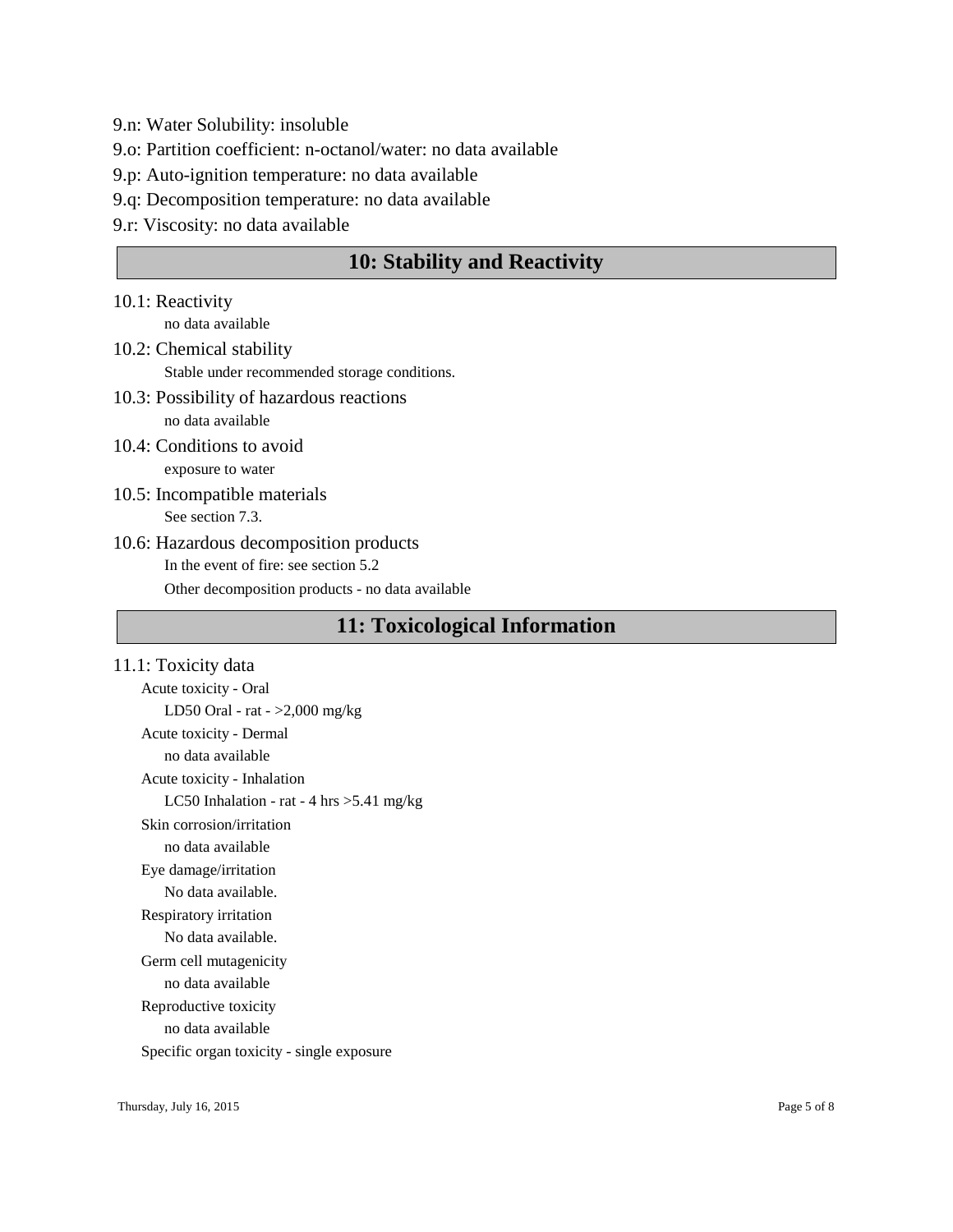- 9.n: Water Solubility: insoluble
- 9.o: Partition coefficient: n-octanol/water: no data available
- 9.p: Auto-ignition temperature: no data available
- 9.q: Decomposition temperature: no data available
- 9.r: Viscosity: no data available

# **10: Stability and Reactivity**

- 10.1: Reactivity no data available
- 10.2: Chemical stability Stable under recommended storage conditions.
- 10.3: Possibility of hazardous reactions no data available
- 10.4: Conditions to avoid exposure to water
- 10.5: Incompatible materials See section 7.3.
- 10.6: Hazardous decomposition products In the event of fire: see section 5.2 Other decomposition products - no data available

# **11: Toxicological Information**

11.1: Toxicity data Acute toxicity - Oral LD50 Oral - rat - >2,000 mg/kg Acute toxicity - Dermal no data available Acute toxicity - Inhalation LC50 Inhalation - rat - 4 hrs >5.41 mg/kg Skin corrosion/irritation no data available Eye damage/irritation No data available. Respiratory irritation No data available. Germ cell mutagenicity no data available Reproductive toxicity no data available Specific organ toxicity - single exposure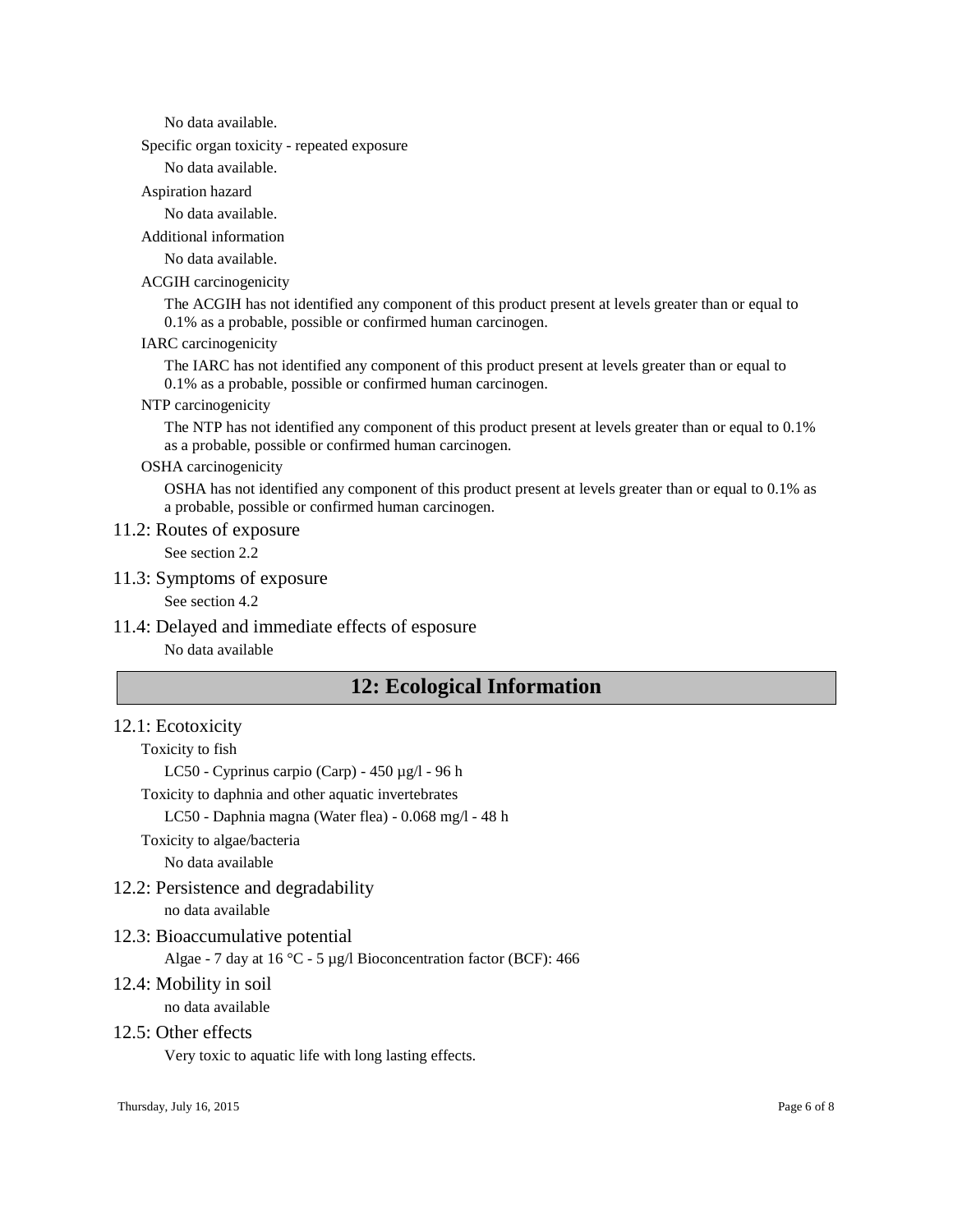No data available.

Specific organ toxicity - repeated exposure

No data available.

#### Aspiration hazard

No data available.

Additional information

No data available.

#### ACGIH carcinogenicity

The ACGIH has not identified any component of this product present at levels greater than or equal to 0.1% as a probable, possible or confirmed human carcinogen.

#### IARC carcinogenicity

The IARC has not identified any component of this product present at levels greater than or equal to 0.1% as a probable, possible or confirmed human carcinogen.

#### NTP carcinogenicity

The NTP has not identified any component of this product present at levels greater than or equal to 0.1% as a probable, possible or confirmed human carcinogen.

#### OSHA carcinogenicity

OSHA has not identified any component of this product present at levels greater than or equal to 0.1% as a probable, possible or confirmed human carcinogen.

### 11.2: Routes of exposure

See section 2.2

#### 11.3: Symptoms of exposure

See section 4.2

### 11.4: Delayed and immediate effects of esposure

No data available

# **12: Ecological Information**

### 12.1: Ecotoxicity

#### Toxicity to fish

LC50 - Cyprinus carpio (Carp) - 450 µg/l - 96 h

Toxicity to daphnia and other aquatic invertebrates

LC50 - Daphnia magna (Water flea) - 0.068 mg/l - 48 h

Toxicity to algae/bacteria

No data available

#### 12.2: Persistence and degradability

no data available

# 12.3: Bioaccumulative potential

Algae - 7 day at 16 °C - 5 µg/l Bioconcentration factor (BCF): 466

# 12.4: Mobility in soil

no data available

# 12.5: Other effects

Very toxic to aquatic life with long lasting effects.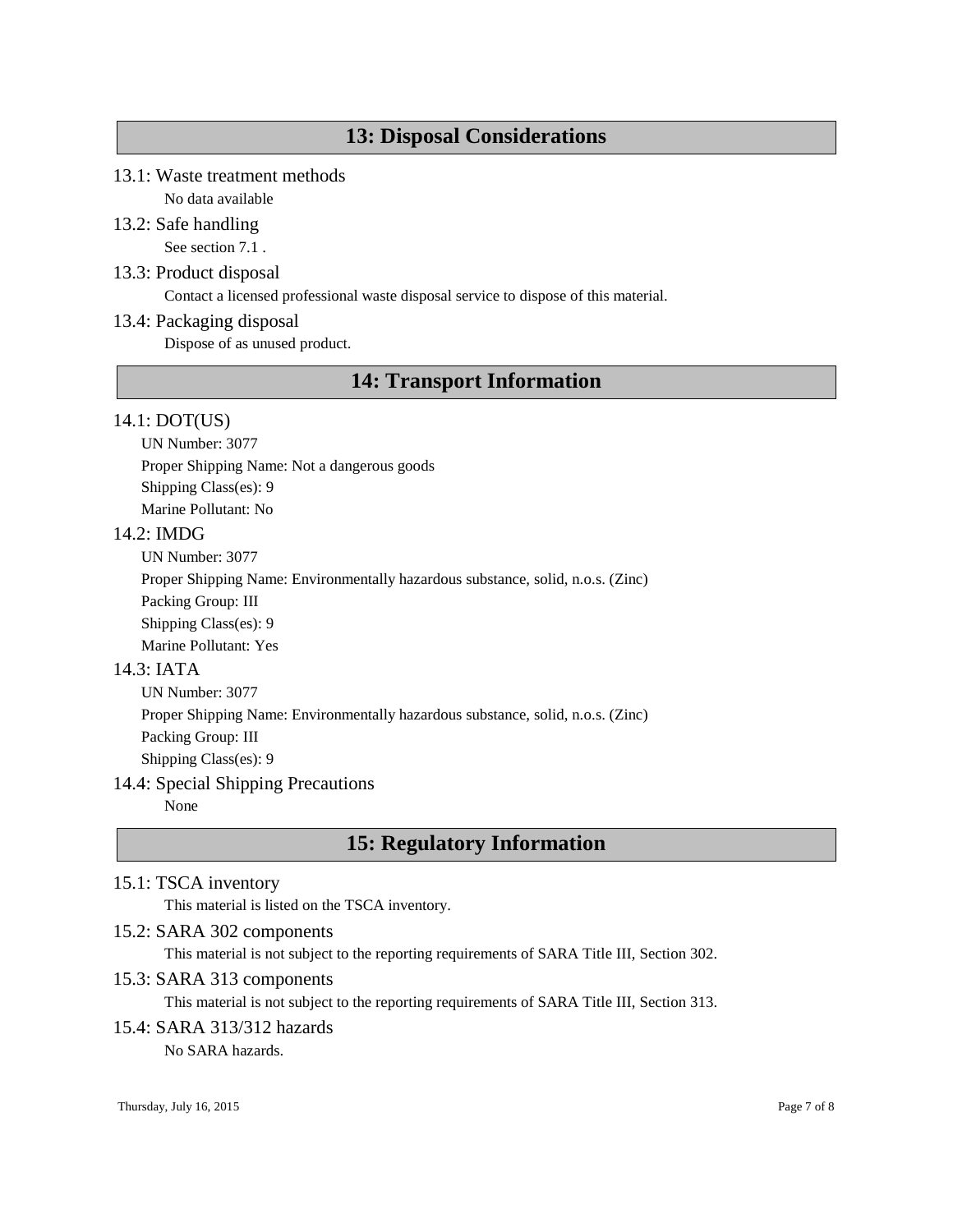# **13: Disposal Considerations**

# 13.1: Waste treatment methods

No data available

# 13.2: Safe handling

See section 7.1 .

# 13.3: Product disposal

Contact a licensed professional waste disposal service to dispose of this material.

# 13.4: Packaging disposal

Dispose of as unused product.

# **14: Transport Information**

### 14.1: DOT(US)

UN Number: 3077

Proper Shipping Name: Not a dangerous goods

Shipping Class(es): 9

Marine Pollutant: No

### 14.2: IMDG

UN Number: 3077

Proper Shipping Name: Environmentally hazardous substance, solid, n.o.s. (Zinc)

Packing Group: III

Shipping Class(es): 9

Marine Pollutant: Yes

# 14.3: IATA

UN Number: 3077 Proper Shipping Name: Environmentally hazardous substance, solid, n.o.s. (Zinc) Packing Group: III Shipping Class(es): 9

# 14.4: Special Shipping Precautions

None

# **15: Regulatory Information**

# 15.1: TSCA inventory

This material is listed on the TSCA inventory.

# 15.2: SARA 302 components

This material is not subject to the reporting requirements of SARA Title III, Section 302.

# 15.3: SARA 313 components

This material is not subject to the reporting requirements of SARA Title III, Section 313.

# 15.4: SARA 313/312 hazards

No SARA hazards.